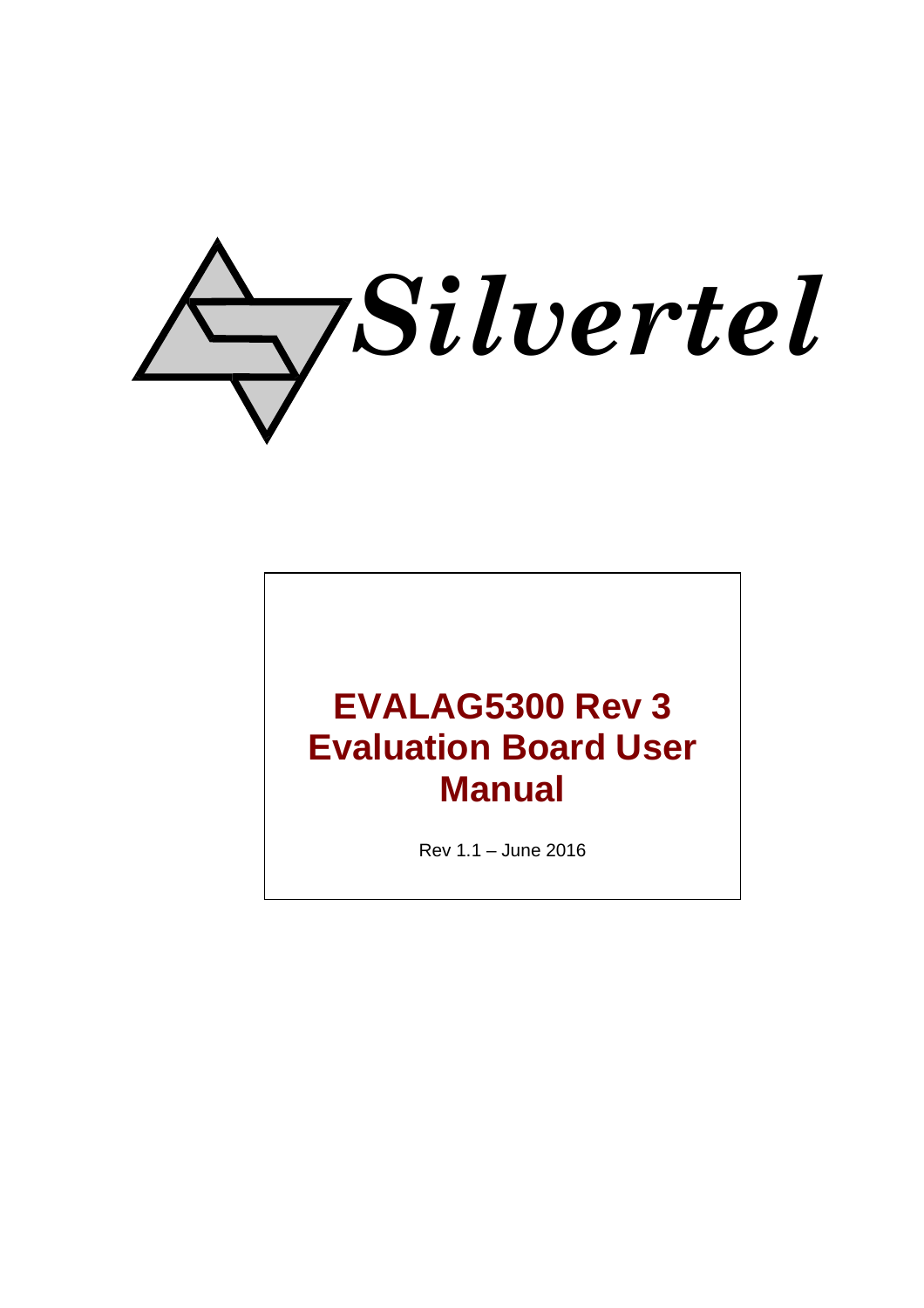

# **EVALAG5300 Rev 3 Evaluation Board User Manual**

Rev 1.1 – June 2016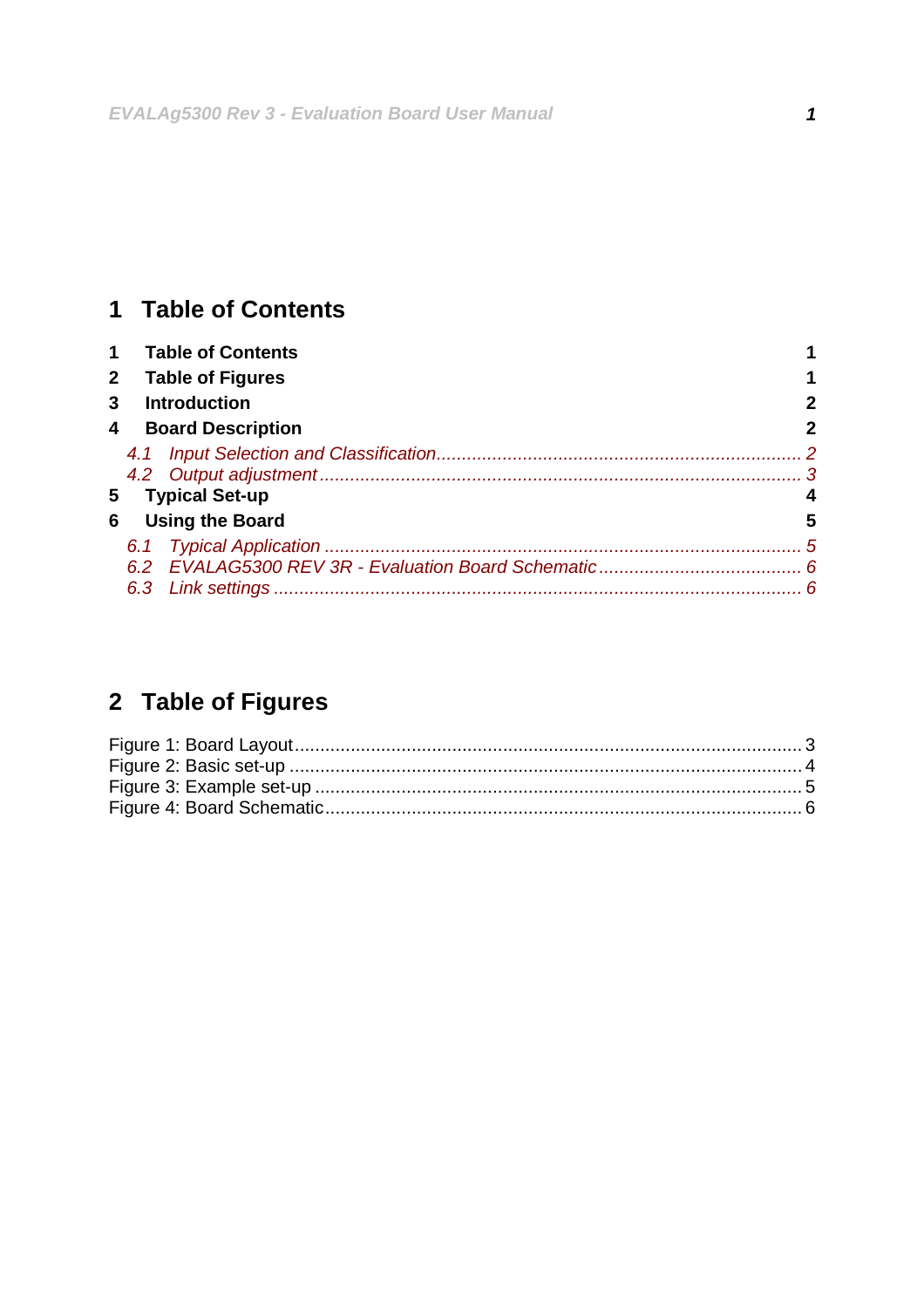# **1 Table of Contents**

| $\mathbf 1$              |                                         | <b>Table of Contents</b> |   |
|--------------------------|-----------------------------------------|--------------------------|---|
|                          | $\mathbf{2}$<br><b>Table of Figures</b> |                          |   |
| 3<br><b>Introduction</b> |                                         |                          |   |
| 4                        |                                         | <b>Board Description</b> |   |
|                          |                                         |                          |   |
|                          |                                         |                          |   |
|                          |                                         | 5 Typical Set-up         |   |
| 6                        |                                         | <b>Using the Board</b>   | 5 |
|                          |                                         |                          |   |
|                          |                                         |                          |   |
|                          |                                         |                          |   |

# **2 Table of Figures**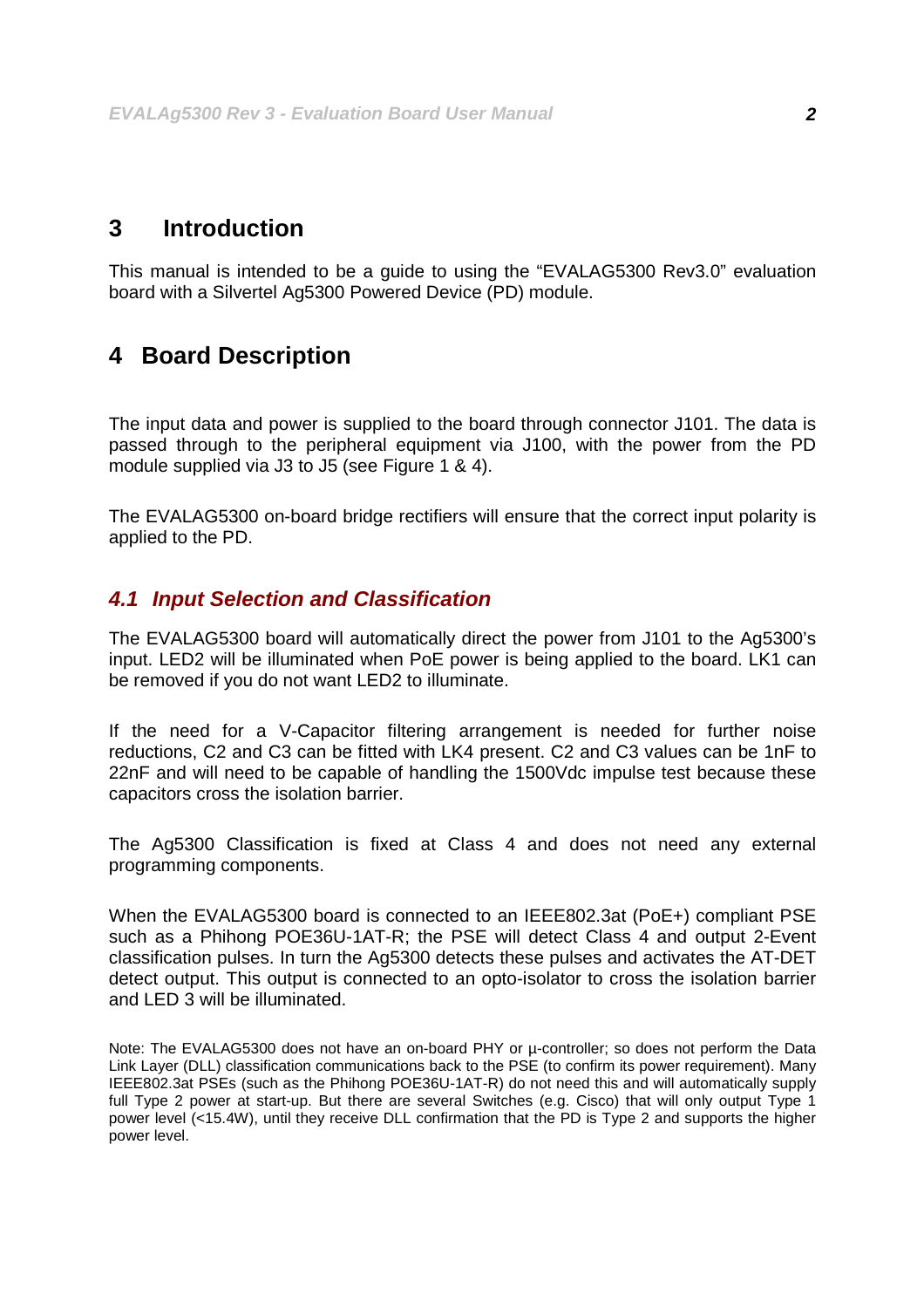# **3 Introduction**

This manual is intended to be a guide to using the "EVALAG5300 Rev3.0" evaluation board with a Silvertel Ag5300 Powered Device (PD) module.

### **4 Board Description**

The input data and power is supplied to the board through connector J101. The data is passed through to the peripheral equipment via J100, with the power from the PD module supplied via J3 to J5 (see Figure 1 & 4).

The EVALAG5300 on-board bridge rectifiers will ensure that the correct input polarity is applied to the PD.

#### **4.1 Input Selection and Classification**

The EVALAG5300 board will automatically direct the power from J101 to the Ag5300's input. LED2 will be illuminated when PoE power is being applied to the board. LK1 can be removed if you do not want LED2 to illuminate.

If the need for a V-Capacitor filtering arrangement is needed for further noise reductions, C2 and C3 can be fitted with LK4 present. C2 and C3 values can be 1nF to 22nF and will need to be capable of handling the 1500Vdc impulse test because these capacitors cross the isolation barrier.

The Ag5300 Classification is fixed at Class 4 and does not need any external programming components.

When the EVALAG5300 board is connected to an IEEE802.3at (PoE+) compliant PSE such as a Phihong POE36U-1AT-R; the PSE will detect Class 4 and output 2-Event classification pulses. In turn the Ag5300 detects these pulses and activates the AT-DET detect output. This output is connected to an opto-isolator to cross the isolation barrier and LED 3 will be illuminated.

Note: The EVALAG5300 does not have an on-board PHY or  $\mu$ -controller; so does not perform the Data Link Layer (DLL) classification communications back to the PSE (to confirm its power requirement). Many IEEE802.3at PSEs (such as the Phihong POE36U-1AT-R) do not need this and will automatically supply full Type 2 power at start-up. But there are several Switches (e.g. Cisco) that will only output Type 1 power level (<15.4W), until they receive DLL confirmation that the PD is Type 2 and supports the higher power level.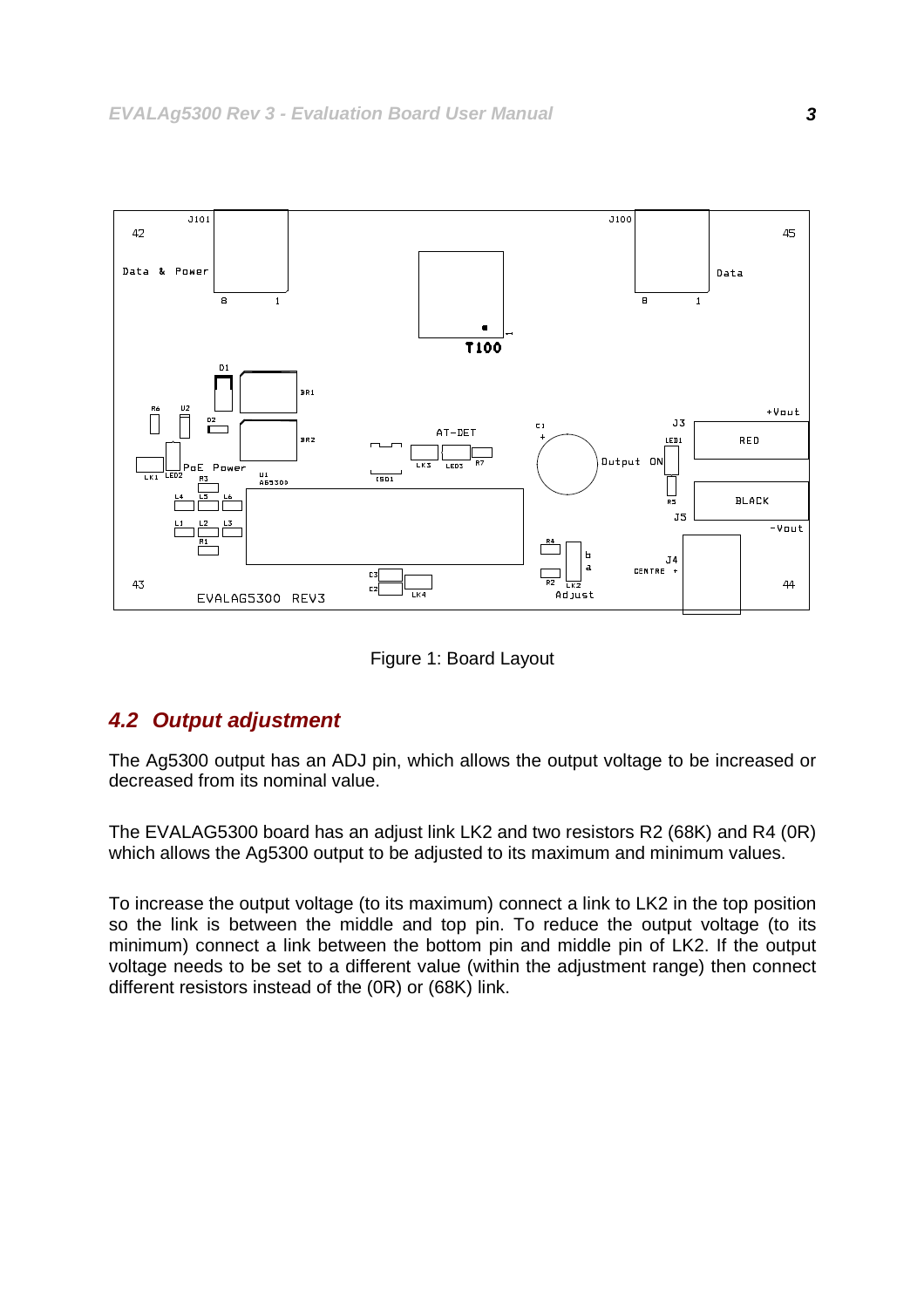

Figure 1: Board Layout

#### **4.2 Output adjustment**

The Ag5300 output has an ADJ pin, which allows the output voltage to be increased or decreased from its nominal value.

The EVALAG5300 board has an adjust link LK2 and two resistors R2 (68K) and R4 (0R) which allows the Ag5300 output to be adjusted to its maximum and minimum values.

To increase the output voltage (to its maximum) connect a link to LK2 in the top position so the link is between the middle and top pin. To reduce the output voltage (to its minimum) connect a link between the bottom pin and middle pin of LK2. If the output voltage needs to be set to a different value (within the adjustment range) then connect different resistors instead of the (0R) or (68K) link.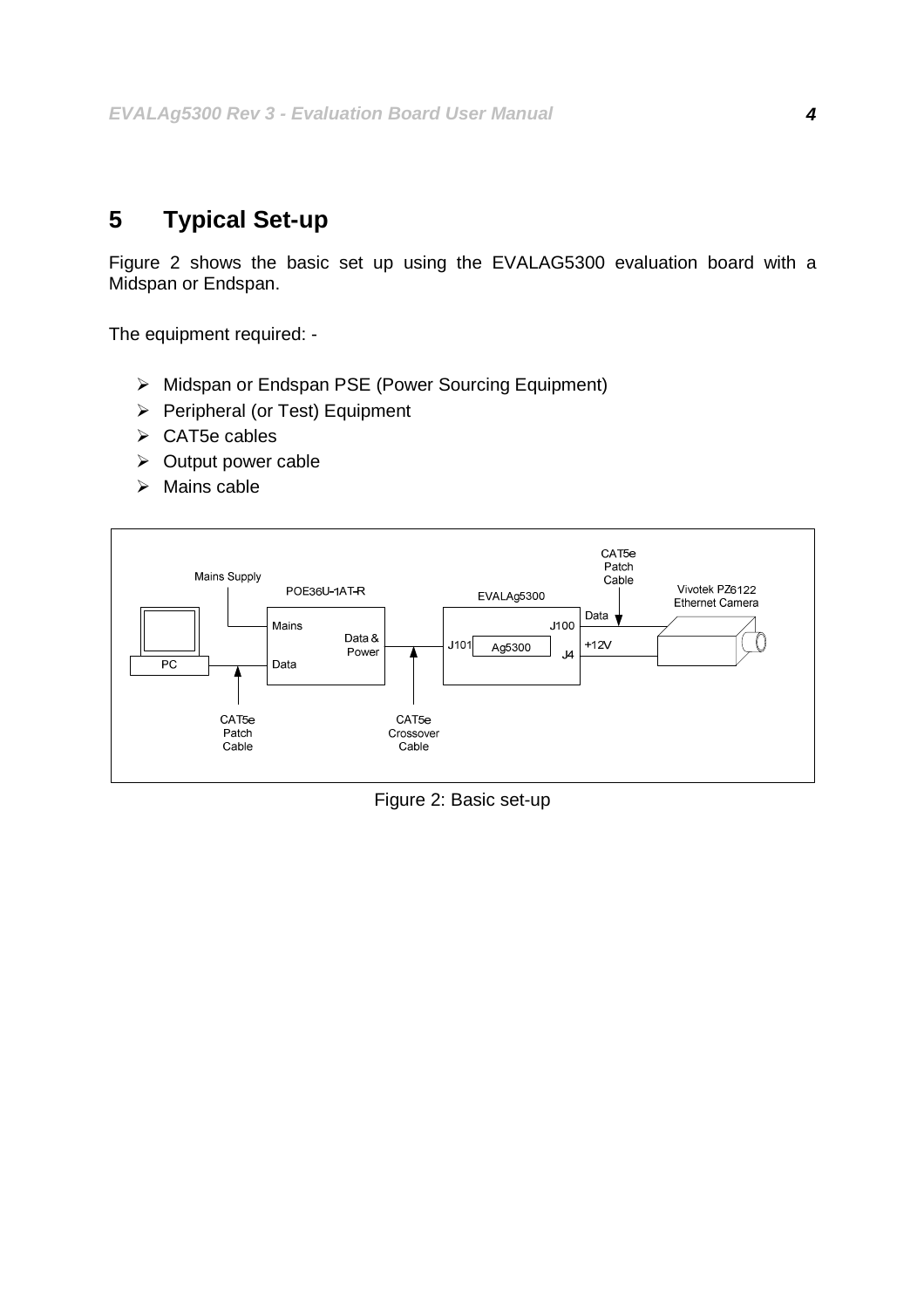# **5 Typical Set-up**

Figure 2 shows the basic set up using the EVALAG5300 evaluation board with a Midspan or Endspan.

The equipment required: -

- > Midspan or Endspan PSE (Power Sourcing Equipment)
- $\triangleright$  Peripheral (or Test) Equipment
- $\triangleright$  CAT5e cables
- $\triangleright$  Output power cable
- $\triangleright$  Mains cable



Figure 2: Basic set-up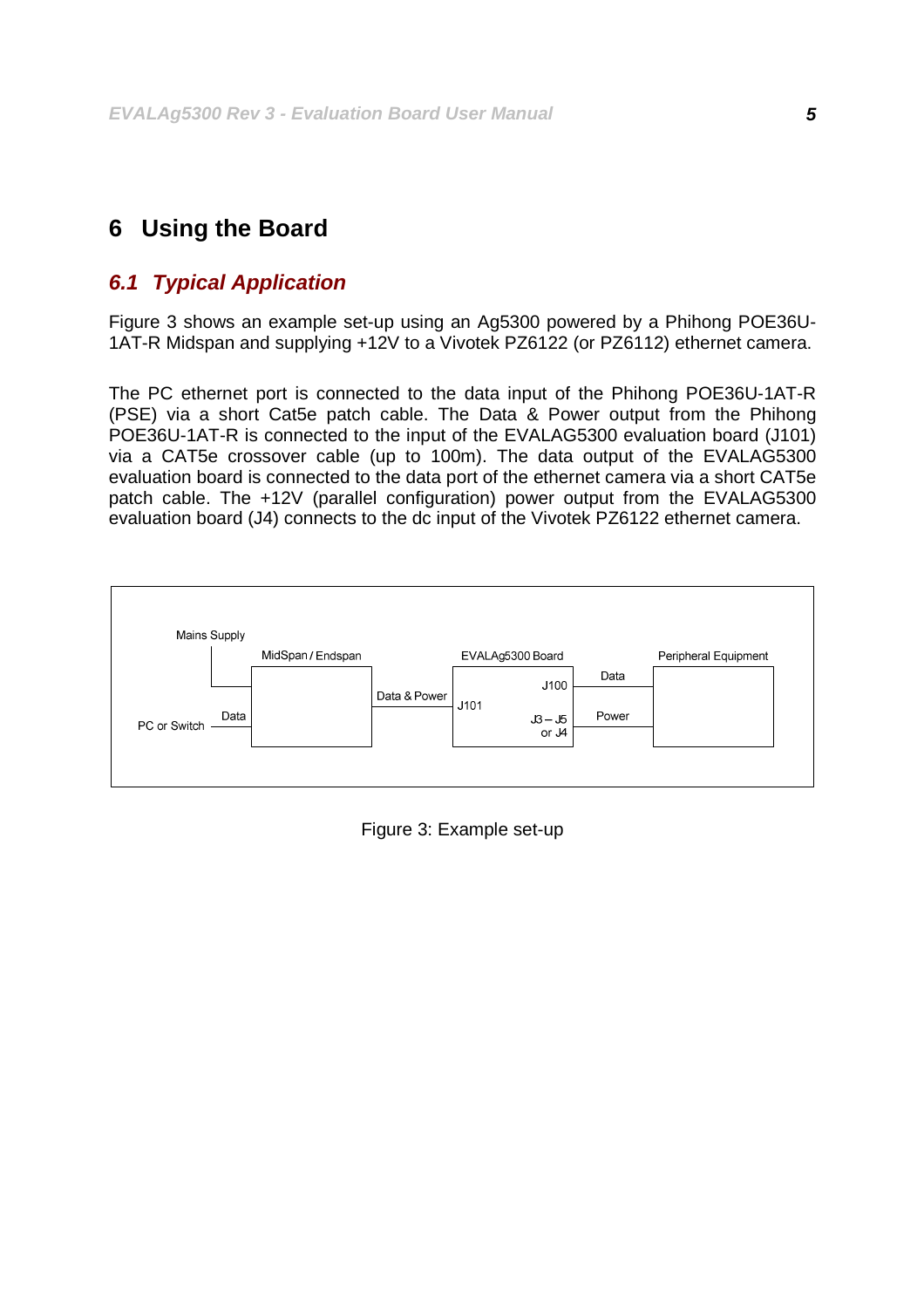# **6 Using the Board**

#### **6.1 Typical Application**

Figure 3 shows an example set-up using an Ag5300 powered by a Phihong POE36U-1AT-R Midspan and supplying +12V to a Vivotek PZ6122 (or PZ6112) ethernet camera.

The PC ethernet port is connected to the data input of the Phihong POE36U-1AT-R (PSE) via a short Cat5e patch cable. The Data & Power output from the Phihong POE36U-1AT-R is connected to the input of the EVALAG5300 evaluation board (J101) via a CAT5e crossover cable (up to 100m). The data output of the EVALAG5300 evaluation board is connected to the data port of the ethernet camera via a short CAT5e patch cable. The +12V (parallel configuration) power output from the EVALAG5300 evaluation board (J4) connects to the dc input of the Vivotek PZ6122 ethernet camera.



Figure 3: Example set-up